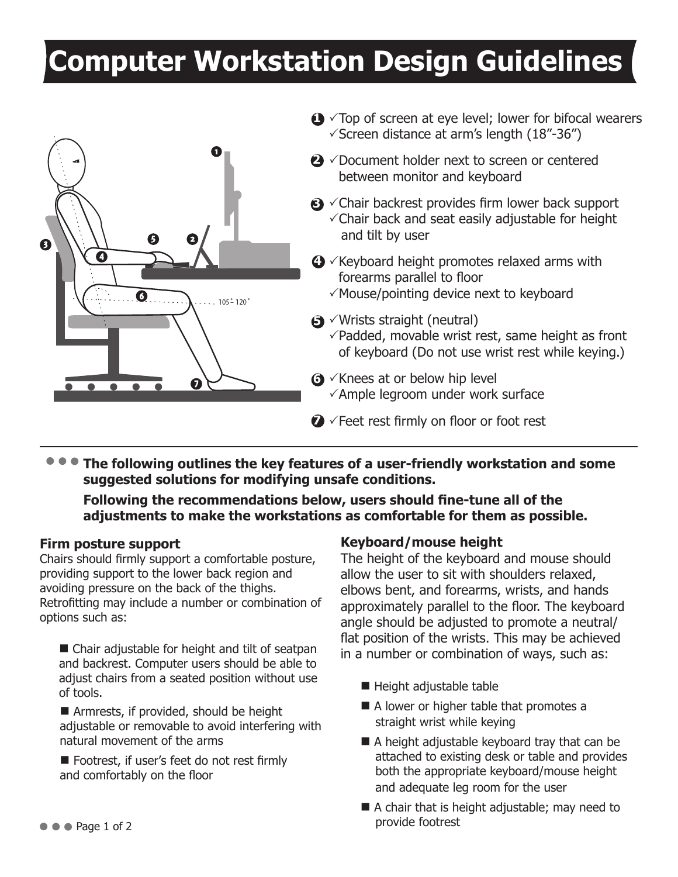# **Computer Workstation Design Guidelines**



**The following outlines the key features of a user-friendly workstation and some suggested solutions for modifying unsafe conditions.** 

**Following the recommendations below, users should fine-tune all of the adjustments to make the workstations as comfortable for them as possible.**

#### **Firm posture support**

Chairs should firmly support a comfortable posture, providing support to the lower back region and avoiding pressure on the back of the thighs. Retrofitting may include a number or combination of options such as:

 $\blacksquare$  Chair adjustable for height and tilt of seatpan and backrest. Computer users should be able to adjust chairs from a seated position without use of tools.

 $\blacksquare$  Armrests, if provided, should be height adjustable or removable to avoid interfering with natural movement of the arms

■ Footrest, if user's feet do not rest firmly and comfortably on the floor

### **Keyboard/mouse height**

The height of the keyboard and mouse should allow the user to sit with shoulders relaxed, elbows bent, and forearms, wrists, and hands approximately parallel to the floor. The keyboard angle should be adjusted to promote a neutral/ flat position of the wrists. This may be achieved in a number or combination of ways, such as:

- $\blacksquare$  Height adjustable table
- $\blacksquare$  A lower or higher table that promotes a straight wrist while keying
- $\blacksquare$  A height adjustable keyboard tray that can be attached to existing desk or table and provides both the appropriate keyboard/mouse height and adequate leg room for the user
- $\blacksquare$  A chair that is height adjustable; may need to provide footrest